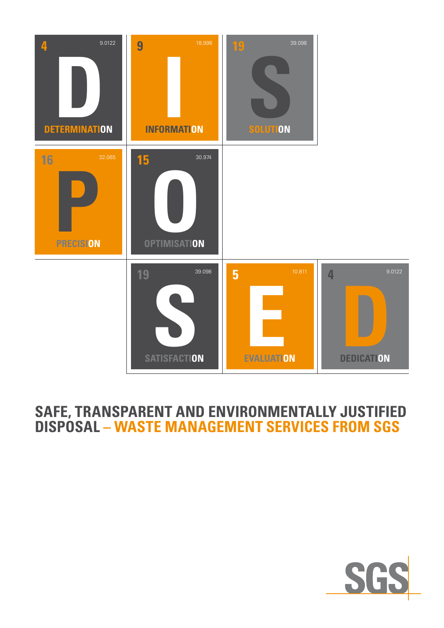

## **SAFE, TRANSPARENT AND ENVIRONMENTALLY JUSTIFIED DISPOSAL – WASTE MANAGEMENT SERVICES FROM SGS**